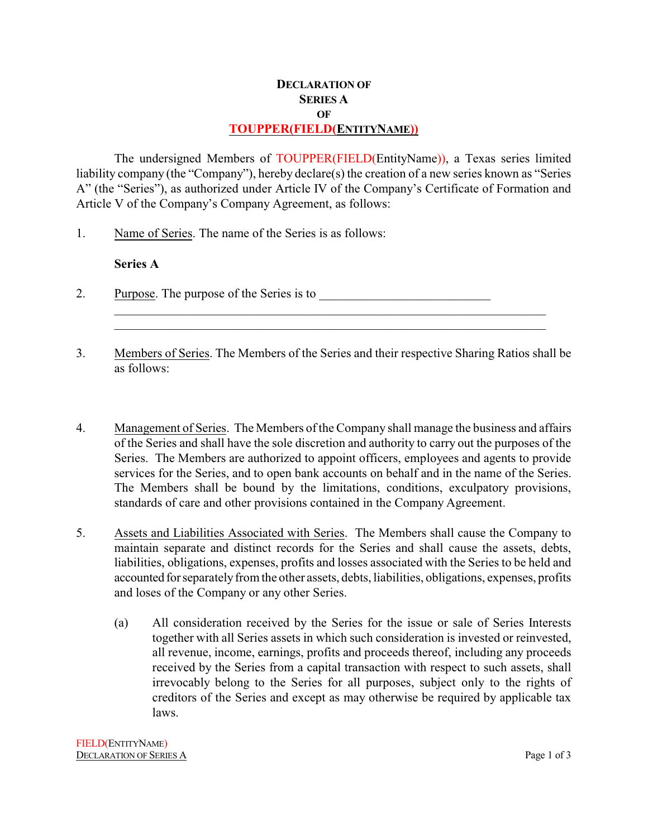## **DECLARATION OF SERIES A OF TOUPPER(FIELD(ENTITYNAME))**

The undersigned Members of TOUPPER(FIELD(EntityName)), a Texas series limited liability company (the "Company"), hereby declare(s) the creation of a new series known as "Series A" (the "Series"), as authorized under Article IV of the Company's Certificate of Formation and Article V of the Company's Company Agreement, as follows:

1. Name of Series. The name of the Series is as follows:

## **Series A**

2. Purpose. The purpose of the Series is to \_\_\_\_\_\_\_\_\_\_\_\_\_\_\_\_\_\_\_\_\_\_\_\_\_\_\_

3. Members of Series. The Members of the Series and their respective Sharing Ratios shall be as follows:

\_\_\_\_\_\_\_\_\_\_\_\_\_\_\_\_\_\_\_\_\_\_\_\_\_\_\_\_\_\_\_\_\_\_\_\_\_\_\_\_\_\_\_\_\_\_\_\_\_\_\_\_\_\_\_\_\_\_\_\_\_\_\_\_\_\_\_\_ \_\_\_\_\_\_\_\_\_\_\_\_\_\_\_\_\_\_\_\_\_\_\_\_\_\_\_\_\_\_\_\_\_\_\_\_\_\_\_\_\_\_\_\_\_\_\_\_\_\_\_\_\_\_\_\_\_\_\_\_\_\_\_\_\_\_\_\_

- 4. Management of Series. The Members of the Company shall manage the business and affairs of the Series and shall have the sole discretion and authority to carry out the purposes of the Series. The Members are authorized to appoint officers, employees and agents to provide services for the Series, and to open bank accounts on behalf and in the name of the Series. The Members shall be bound by the limitations, conditions, exculpatory provisions, standards of care and other provisions contained in the Company Agreement.
- 5. Assets and Liabilities Associated with Series. The Members shall cause the Company to maintain separate and distinct records for the Series and shall cause the assets, debts, liabilities, obligations, expenses, profits and losses associated with the Series to be held and accounted for separately from the other assets, debts, liabilities, obligations, expenses, profits and loses of the Company or any other Series.
	- (a) All consideration received by the Series for the issue or sale of Series Interests together with all Series assets in which such consideration is invested or reinvested, all revenue, income, earnings, profits and proceeds thereof, including any proceeds received by the Series from a capital transaction with respect to such assets, shall irrevocably belong to the Series for all purposes, subject only to the rights of creditors of the Series and except as may otherwise be required by applicable tax laws.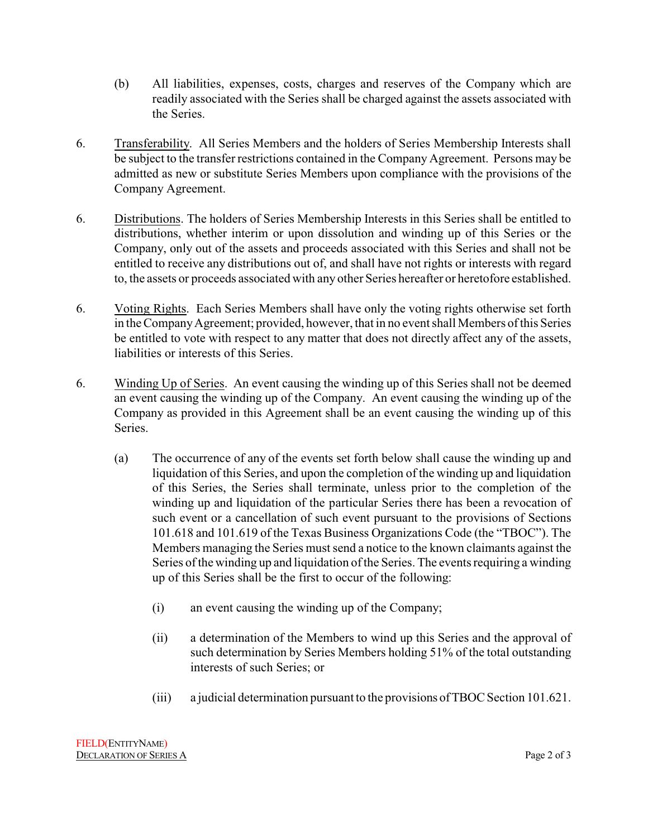- (b) All liabilities, expenses, costs, charges and reserves of the Company which are readily associated with the Series shall be charged against the assets associated with the Series.
- 6. Transferability. All Series Members and the holders of Series Membership Interests shall be subject to the transfer restrictions contained in the Company Agreement. Persons may be admitted as new or substitute Series Members upon compliance with the provisions of the Company Agreement.
- 6. Distributions. The holders of Series Membership Interests in this Series shall be entitled to distributions, whether interim or upon dissolution and winding up of this Series or the Company, only out of the assets and proceeds associated with this Series and shall not be entitled to receive any distributions out of, and shall have not rights or interests with regard to, the assets or proceeds associated with any other Series hereafter or heretofore established.
- 6. Voting Rights. Each Series Members shall have only the voting rights otherwise set forth in the CompanyAgreement; provided, however, that in no event shall Members of this Series be entitled to vote with respect to any matter that does not directly affect any of the assets, liabilities or interests of this Series.
- 6. Winding Up of Series. An event causing the winding up of this Series shall not be deemed an event causing the winding up of the Company. An event causing the winding up of the Company as provided in this Agreement shall be an event causing the winding up of this Series.
	- (a) The occurrence of any of the events set forth below shall cause the winding up and liquidation of this Series, and upon the completion of the winding up and liquidation of this Series, the Series shall terminate, unless prior to the completion of the winding up and liquidation of the particular Series there has been a revocation of such event or a cancellation of such event pursuant to the provisions of Sections 101.618 and 101.619 of the Texas Business Organizations Code (the "TBOC"). The Members managing the Series must send a notice to the known claimants against the Series of the winding up and liquidation of the Series. The events requiring a winding up of this Series shall be the first to occur of the following:
		- (i) an event causing the winding up of the Company;
		- (ii) a determination of the Members to wind up this Series and the approval of such determination by Series Members holding 51% of the total outstanding interests of such Series; or
		- (iii) a judicial determination pursuant to the provisions of TBOC Section 101.621.